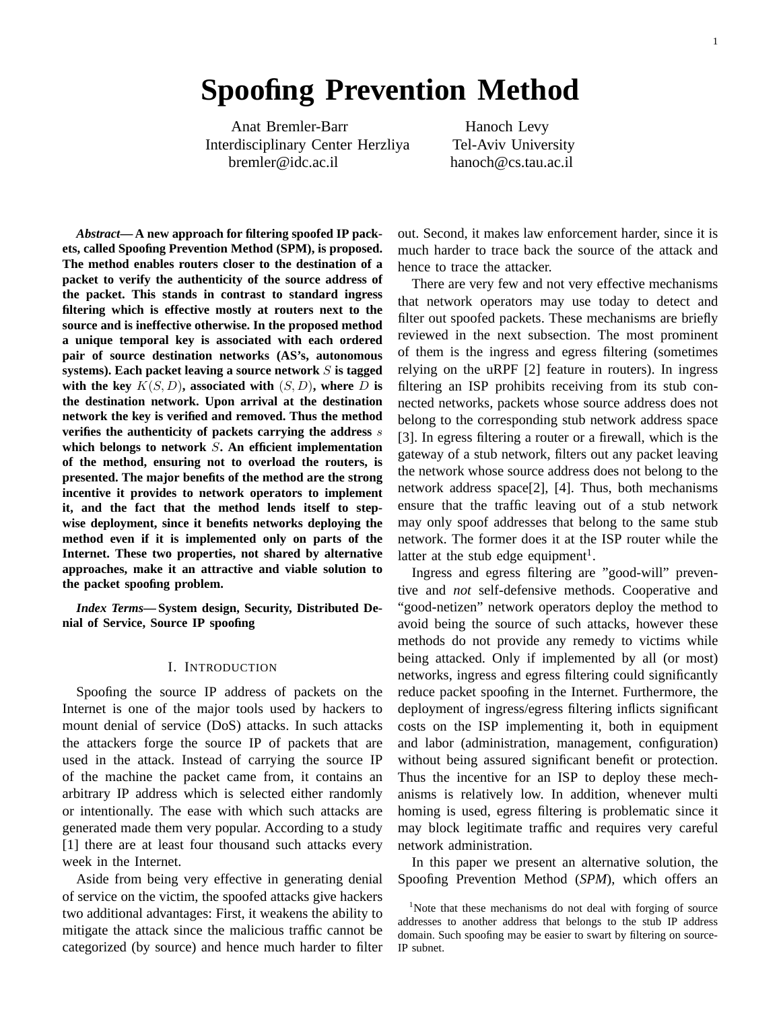# **Spoofing Prevention Method**

Anat Bremler-Barr Hanoch Levy Interdisciplinary Center Herzliya Tel-Aviv University bremler@idc.ac.il hanoch@cs.tau.ac.il

*Abstract***— A new approach for filtering spoofed IP packets, called Spoofing Prevention Method (SPM), is proposed. The method enables routers closer to the destination of a packet to verify the authenticity of the source address of the packet. This stands in contrast to standard ingress filtering which is effective mostly at routers next to the source and is ineffective otherwise. In the proposed method a unique temporal key is associated with each ordered pair of source destination networks (AS's, autonomous systems). Each packet leaving a source network** S **is tagged** with the key  $K(S, D)$ , associated with  $(S, D)$ , where D is **the destination network. Upon arrival at the destination network the key is verified and removed. Thus the method verifies the authenticity of packets carrying the address** s **which belongs to network** S**. An efficient implementation of the method, ensuring not to overload the routers, is presented. The major benefits of the method are the strong incentive it provides to network operators to implement it, and the fact that the method lends itself to stepwise deployment, since it benefits networks deploying the method even if it is implemented only on parts of the Internet. These two properties, not shared by alternative approaches, make it an attractive and viable solution to the packet spoofing problem.**

*Index Terms***— System design, Security, Distributed Denial of Service, Source IP spoofing**

## I. INTRODUCTION

Spoofing the source IP address of packets on the Internet is one of the major tools used by hackers to mount denial of service (DoS) attacks. In such attacks the attackers forge the source IP of packets that are used in the attack. Instead of carrying the source IP of the machine the packet came from, it contains an arbitrary IP address which is selected either randomly or intentionally. The ease with which such attacks are generated made them very popular. According to a study [1] there are at least four thousand such attacks every week in the Internet.

Aside from being very effective in generating denial of service on the victim, the spoofed attacks give hackers two additional advantages: First, it weakens the ability to mitigate the attack since the malicious traffic cannot be categorized (by source) and hence much harder to filter out. Second, it makes law enforcement harder, since it is much harder to trace back the source of the attack and hence to trace the attacker.

There are very few and not very effective mechanisms that network operators may use today to detect and filter out spoofed packets. These mechanisms are briefly reviewed in the next subsection. The most prominent of them is the ingress and egress filtering (sometimes relying on the uRPF [2] feature in routers). In ingress filtering an ISP prohibits receiving from its stub connected networks, packets whose source address does not belong to the corresponding stub network address space [3]. In egress filtering a router or a firewall, which is the gateway of a stub network, filters out any packet leaving the network whose source address does not belong to the network address space[2], [4]. Thus, both mechanisms ensure that the traffic leaving out of a stub network may only spoof addresses that belong to the same stub network. The former does it at the ISP router while the latter at the stub edge equipment<sup>1</sup>.

Ingress and egress filtering are "good-will" preventive and *not* self-defensive methods. Cooperative and "good-netizen" network operators deploy the method to avoid being the source of such attacks, however these methods do not provide any remedy to victims while being attacked. Only if implemented by all (or most) networks, ingress and egress filtering could significantly reduce packet spoofing in the Internet. Furthermore, the deployment of ingress/egress filtering inflicts significant costs on the ISP implementing it, both in equipment and labor (administration, management, configuration) without being assured significant benefit or protection. Thus the incentive for an ISP to deploy these mechanisms is relatively low. In addition, whenever multi homing is used, egress filtering is problematic since it may block legitimate traffic and requires very careful network administration.

In this paper we present an alternative solution, the Spoofing Prevention Method (*SPM*), which offers an

<sup>&</sup>lt;sup>1</sup>Note that these mechanisms do not deal with forging of source addresses to another address that belongs to the stub IP address domain. Such spoofing may be easier to swart by filtering on source-IP subnet.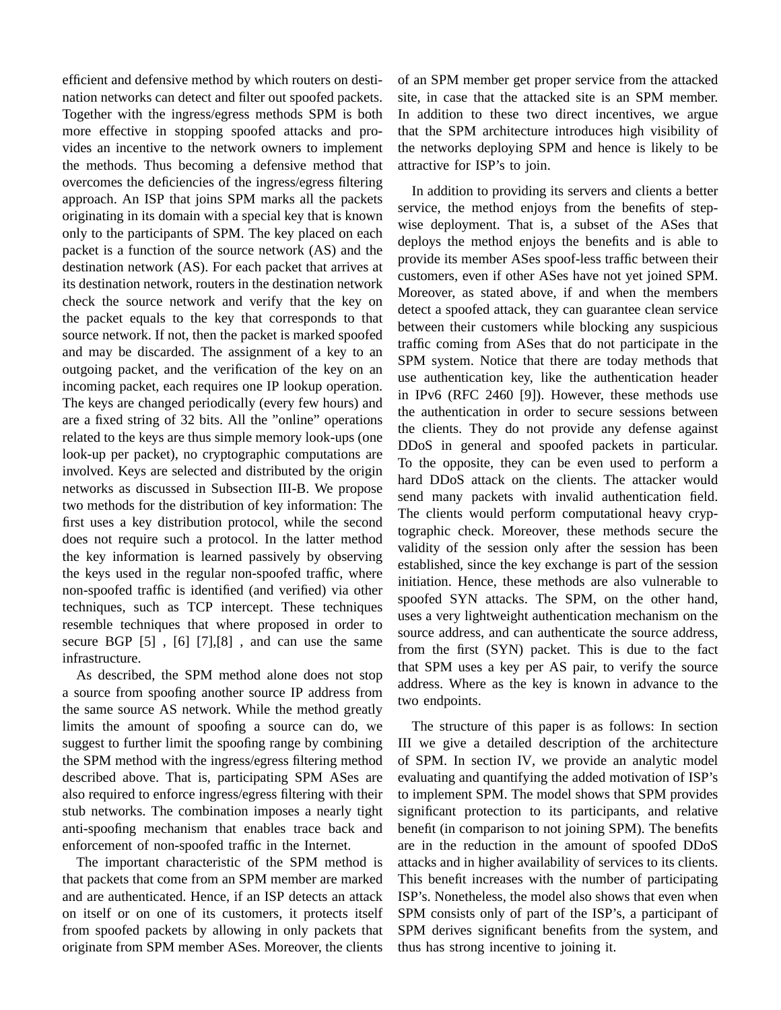efficient and defensive method by which routers on destination networks can detect and filter out spoofed packets. Together with the ingress/egress methods SPM is both more effective in stopping spoofed attacks and provides an incentive to the network owners to implement the methods. Thus becoming a defensive method that overcomes the deficiencies of the ingress/egress filtering approach. An ISP that joins SPM marks all the packets originating in its domain with a special key that is known only to the participants of SPM. The key placed on each packet is a function of the source network (AS) and the destination network (AS). For each packet that arrives at its destination network, routers in the destination network check the source network and verify that the key on the packet equals to the key that corresponds to that source network. If not, then the packet is marked spoofed and may be discarded. The assignment of a key to an outgoing packet, and the verification of the key on an incoming packet, each requires one IP lookup operation. The keys are changed periodically (every few hours) and are a fixed string of 32 bits. All the "online" operations related to the keys are thus simple memory look-ups (one look-up per packet), no cryptographic computations are involved. Keys are selected and distributed by the origin networks as discussed in Subsection III-B. We propose two methods for the distribution of key information: The first uses a key distribution protocol, while the second does not require such a protocol. In the latter method the key information is learned passively by observing the keys used in the regular non-spoofed traffic, where non-spoofed traffic is identified (and verified) via other techniques, such as TCP intercept. These techniques resemble techniques that where proposed in order to secure BGP [5] , [6] [7],[8] , and can use the same infrastructure.

As described, the SPM method alone does not stop a source from spoofing another source IP address from the same source AS network. While the method greatly limits the amount of spoofing a source can do, we suggest to further limit the spoofing range by combining the SPM method with the ingress/egress filtering method described above. That is, participating SPM ASes are also required to enforce ingress/egress filtering with their stub networks. The combination imposes a nearly tight anti-spoofing mechanism that enables trace back and enforcement of non-spoofed traffic in the Internet.

The important characteristic of the SPM method is that packets that come from an SPM member are marked and are authenticated. Hence, if an ISP detects an attack on itself or on one of its customers, it protects itself from spoofed packets by allowing in only packets that originate from SPM member ASes. Moreover, the clients

of an SPM member get proper service from the attacked site, in case that the attacked site is an SPM member. In addition to these two direct incentives, we argue that the SPM architecture introduces high visibility of the networks deploying SPM and hence is likely to be attractive for ISP's to join.

In addition to providing its servers and clients a better service, the method enjoys from the benefits of stepwise deployment. That is, a subset of the ASes that deploys the method enjoys the benefits and is able to provide its member ASes spoof-less traffic between their customers, even if other ASes have not yet joined SPM. Moreover, as stated above, if and when the members detect a spoofed attack, they can guarantee clean service between their customers while blocking any suspicious traffic coming from ASes that do not participate in the SPM system. Notice that there are today methods that use authentication key, like the authentication header in IPv6 (RFC 2460 [9]). However, these methods use the authentication in order to secure sessions between the clients. They do not provide any defense against DDoS in general and spoofed packets in particular. To the opposite, they can be even used to perform a hard DDoS attack on the clients. The attacker would send many packets with invalid authentication field. The clients would perform computational heavy cryptographic check. Moreover, these methods secure the validity of the session only after the session has been established, since the key exchange is part of the session initiation. Hence, these methods are also vulnerable to spoofed SYN attacks. The SPM, on the other hand, uses a very lightweight authentication mechanism on the source address, and can authenticate the source address, from the first (SYN) packet. This is due to the fact that SPM uses a key per AS pair, to verify the source address. Where as the key is known in advance to the two endpoints.

The structure of this paper is as follows: In section III we give a detailed description of the architecture of SPM. In section IV, we provide an analytic model evaluating and quantifying the added motivation of ISP's to implement SPM. The model shows that SPM provides significant protection to its participants, and relative benefit (in comparison to not joining SPM). The benefits are in the reduction in the amount of spoofed DDoS attacks and in higher availability of services to its clients. This benefit increases with the number of participating ISP's. Nonetheless, the model also shows that even when SPM consists only of part of the ISP's, a participant of SPM derives significant benefits from the system, and thus has strong incentive to joining it.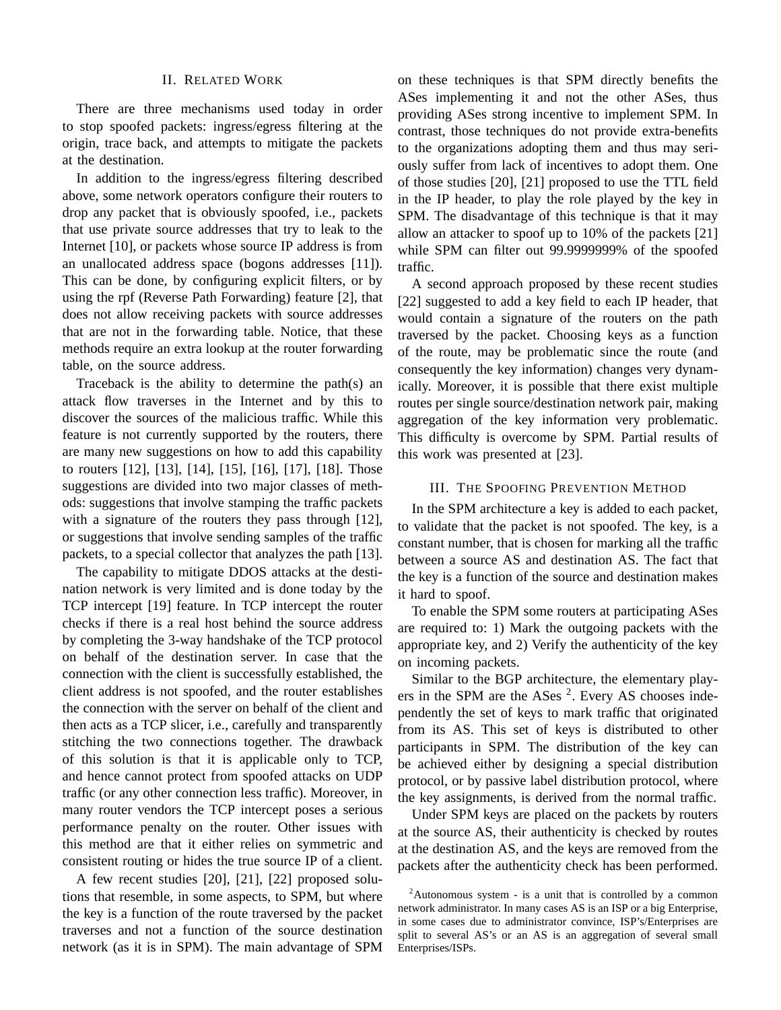#### II. RELATED WORK

There are three mechanisms used today in order to stop spoofed packets: ingress/egress filtering at the origin, trace back, and attempts to mitigate the packets at the destination.

In addition to the ingress/egress filtering described above, some network operators configure their routers to drop any packet that is obviously spoofed, i.e., packets that use private source addresses that try to leak to the Internet [10], or packets whose source IP address is from an unallocated address space (bogons addresses [11]). This can be done, by configuring explicit filters, or by using the rpf (Reverse Path Forwarding) feature [2], that does not allow receiving packets with source addresses that are not in the forwarding table. Notice, that these methods require an extra lookup at the router forwarding table, on the source address.

Traceback is the ability to determine the path(s) an attack flow traverses in the Internet and by this to discover the sources of the malicious traffic. While this feature is not currently supported by the routers, there are many new suggestions on how to add this capability to routers [12], [13], [14], [15], [16], [17], [18]. Those suggestions are divided into two major classes of methods: suggestions that involve stamping the traffic packets with a signature of the routers they pass through [12], or suggestions that involve sending samples of the traffic packets, to a special collector that analyzes the path [13].

The capability to mitigate DDOS attacks at the destination network is very limited and is done today by the TCP intercept [19] feature. In TCP intercept the router checks if there is a real host behind the source address by completing the 3-way handshake of the TCP protocol on behalf of the destination server. In case that the connection with the client is successfully established, the client address is not spoofed, and the router establishes the connection with the server on behalf of the client and then acts as a TCP slicer, i.e., carefully and transparently stitching the two connections together. The drawback of this solution is that it is applicable only to TCP, and hence cannot protect from spoofed attacks on UDP traffic (or any other connection less traffic). Moreover, in many router vendors the TCP intercept poses a serious performance penalty on the router. Other issues with this method are that it either relies on symmetric and consistent routing or hides the true source IP of a client.

A few recent studies [20], [21], [22] proposed solutions that resemble, in some aspects, to SPM, but where the key is a function of the route traversed by the packet traverses and not a function of the source destination network (as it is in SPM). The main advantage of SPM on these techniques is that SPM directly benefits the ASes implementing it and not the other ASes, thus providing ASes strong incentive to implement SPM. In contrast, those techniques do not provide extra-benefits to the organizations adopting them and thus may seriously suffer from lack of incentives to adopt them. One of those studies [20], [21] proposed to use the TTL field in the IP header, to play the role played by the key in SPM. The disadvantage of this technique is that it may allow an attacker to spoof up to 10% of the packets [21] while SPM can filter out 99.9999999% of the spoofed traffic.

A second approach proposed by these recent studies [22] suggested to add a key field to each IP header, that would contain a signature of the routers on the path traversed by the packet. Choosing keys as a function of the route, may be problematic since the route (and consequently the key information) changes very dynamically. Moreover, it is possible that there exist multiple routes per single source/destination network pair, making aggregation of the key information very problematic. This difficulty is overcome by SPM. Partial results of this work was presented at [23].

#### III. THE SPOOFING PREVENTION METHOD

In the SPM architecture a key is added to each packet, to validate that the packet is not spoofed. The key, is a constant number, that is chosen for marking all the traffic between a source AS and destination AS. The fact that the key is a function of the source and destination makes it hard to spoof.

To enable the SPM some routers at participating ASes are required to: 1) Mark the outgoing packets with the appropriate key, and 2) Verify the authenticity of the key on incoming packets.

Similar to the BGP architecture, the elementary players in the SPM are the ASes  $2$ . Every AS chooses independently the set of keys to mark traffic that originated from its AS. This set of keys is distributed to other participants in SPM. The distribution of the key can be achieved either by designing a special distribution protocol, or by passive label distribution protocol, where the key assignments, is derived from the normal traffic.

Under SPM keys are placed on the packets by routers at the source AS, their authenticity is checked by routes at the destination AS, and the keys are removed from the packets after the authenticity check has been performed.

 $2^2$ Autonomous system - is a unit that is controlled by a common network administrator. In many cases AS is an ISP or a big Enterprise, in some cases due to administrator convince, ISP's/Enterprises are split to several AS's or an AS is an aggregation of several small Enterprises/ISPs.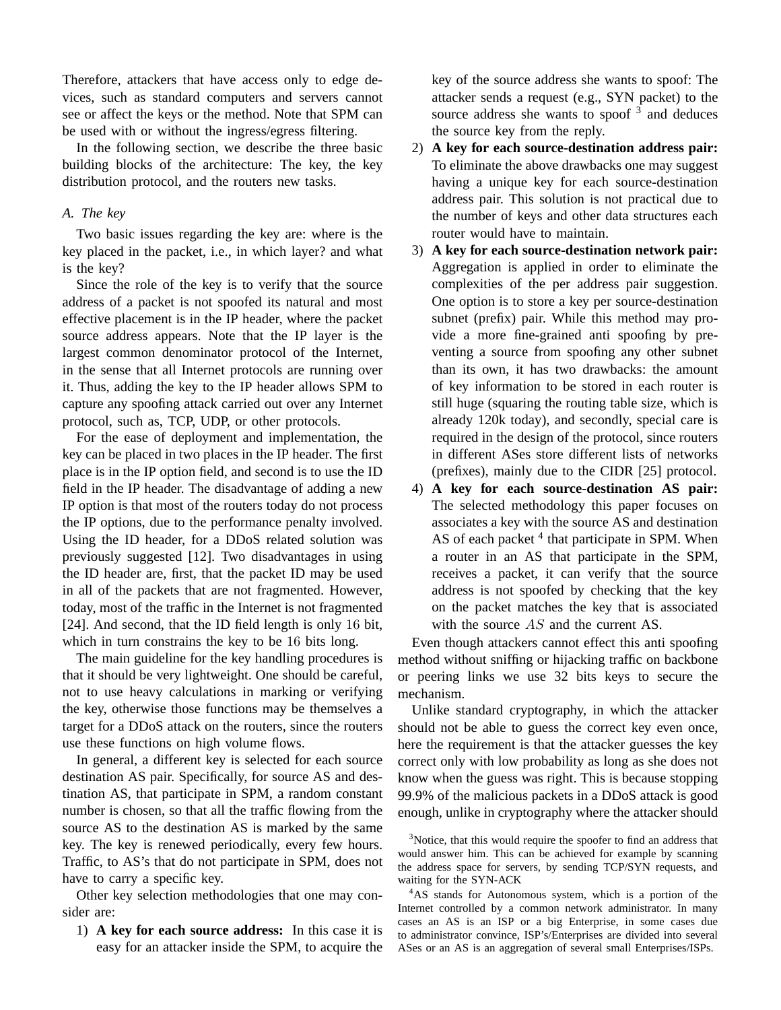Therefore, attackers that have access only to edge devices, such as standard computers and servers cannot see or affect the keys or the method. Note that SPM can be used with or without the ingress/egress filtering.

In the following section, we describe the three basic building blocks of the architecture: The key, the key distribution protocol, and the routers new tasks.

## *A. The key*

Two basic issues regarding the key are: where is the key placed in the packet, i.e., in which layer? and what is the key?

Since the role of the key is to verify that the source address of a packet is not spoofed its natural and most effective placement is in the IP header, where the packet source address appears. Note that the IP layer is the largest common denominator protocol of the Internet, in the sense that all Internet protocols are running over it. Thus, adding the key to the IP header allows SPM to capture any spoofing attack carried out over any Internet protocol, such as, TCP, UDP, or other protocols.

For the ease of deployment and implementation, the key can be placed in two places in the IP header. The first place is in the IP option field, and second is to use the ID field in the IP header. The disadvantage of adding a new IP option is that most of the routers today do not process the IP options, due to the performance penalty involved. Using the ID header, for a DDoS related solution was previously suggested [12]. Two disadvantages in using the ID header are, first, that the packet ID may be used in all of the packets that are not fragmented. However, today, most of the traffic in the Internet is not fragmented [24]. And second, that the ID field length is only 16 bit, which in turn constrains the key to be 16 bits long.

The main guideline for the key handling procedures is that it should be very lightweight. One should be careful, not to use heavy calculations in marking or verifying the key, otherwise those functions may be themselves a target for a DDoS attack on the routers, since the routers use these functions on high volume flows.

In general, a different key is selected for each source destination AS pair. Specifically, for source AS and destination AS, that participate in SPM, a random constant number is chosen, so that all the traffic flowing from the source AS to the destination AS is marked by the same key. The key is renewed periodically, every few hours. Traffic, to AS's that do not participate in SPM, does not have to carry a specific key.

Other key selection methodologies that one may consider are:

1) **A key for each source address:** In this case it is easy for an attacker inside the SPM, to acquire the

key of the source address she wants to spoof: The attacker sends a request (e.g., SYN packet) to the source address she wants to spoof  $3$  and deduces the source key from the reply.

- 2) **A key for each source-destination address pair:** To eliminate the above drawbacks one may suggest having a unique key for each source-destination address pair. This solution is not practical due to the number of keys and other data structures each router would have to maintain.
- 3) **A key for each source-destination network pair:** Aggregation is applied in order to eliminate the complexities of the per address pair suggestion. One option is to store a key per source-destination subnet (prefix) pair. While this method may provide a more fine-grained anti spoofing by preventing a source from spoofing any other subnet than its own, it has two drawbacks: the amount of key information to be stored in each router is still huge (squaring the routing table size, which is already 120k today), and secondly, special care is required in the design of the protocol, since routers in different ASes store different lists of networks (prefixes), mainly due to the CIDR [25] protocol.
- 4) **A key for each source-destination AS pair:** The selected methodology this paper focuses on associates a key with the source AS and destination AS of each packet <sup>4</sup> that participate in SPM. When a router in an AS that participate in the SPM, receives a packet, it can verify that the source address is not spoofed by checking that the key on the packet matches the key that is associated with the source AS and the current AS.

Even though attackers cannot effect this anti spoofing method without sniffing or hijacking traffic on backbone or peering links we use 32 bits keys to secure the mechanism.

Unlike standard cryptography, in which the attacker should not be able to guess the correct key even once, here the requirement is that the attacker guesses the key correct only with low probability as long as she does not know when the guess was right. This is because stopping 99.9% of the malicious packets in a DDoS attack is good enough, unlike in cryptography where the attacker should

 $3$ Notice, that this would require the spoofer to find an address that would answer him. This can be achieved for example by scanning the address space for servers, by sending TCP/SYN requests, and waiting for the SYN-ACK

<sup>4</sup>AS stands for Autonomous system, which is a portion of the Internet controlled by a common network administrator. In many cases an AS is an ISP or a big Enterprise, in some cases due to administrator convince, ISP's/Enterprises are divided into several ASes or an AS is an aggregation of several small Enterprises/ISPs.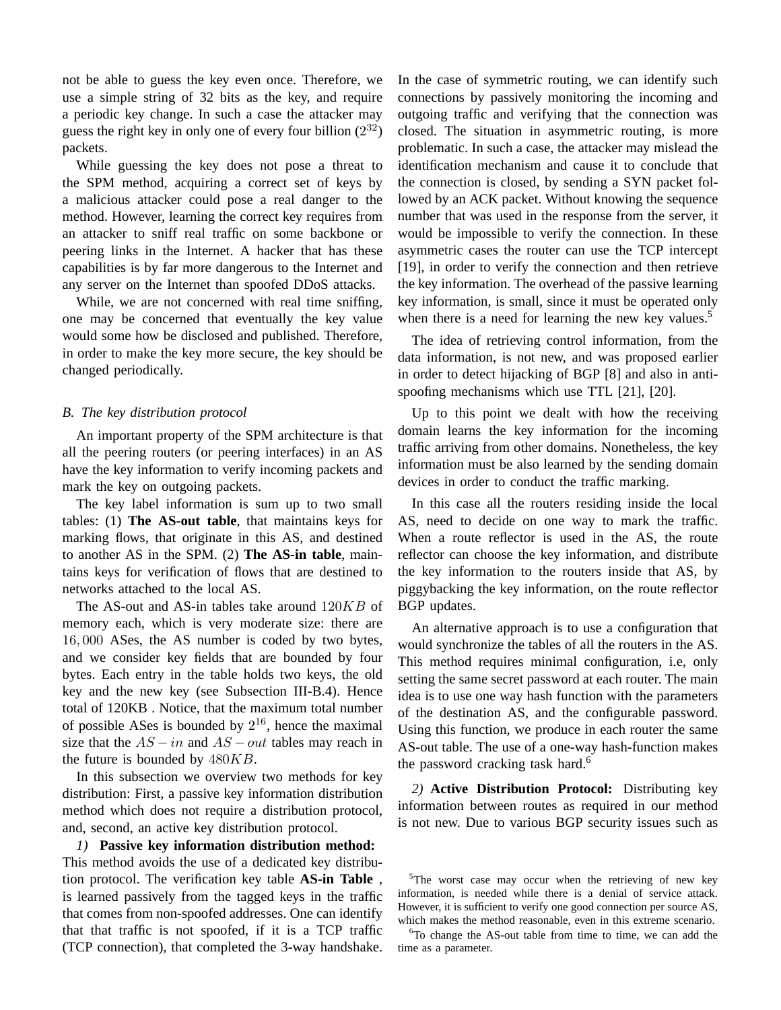not be able to guess the key even once. Therefore, we use a simple string of 32 bits as the key, and require a periodic key change. In such a case the attacker may guess the right key in only one of every four billion  $(2^{32})$ packets.

While guessing the key does not pose a threat to the SPM method, acquiring a correct set of keys by a malicious attacker could pose a real danger to the method. However, learning the correct key requires from an attacker to sniff real traffic on some backbone or peering links in the Internet. A hacker that has these capabilities is by far more dangerous to the Internet and any server on the Internet than spoofed DDoS attacks.

While, we are not concerned with real time sniffing, one may be concerned that eventually the key value would some how be disclosed and published. Therefore, in order to make the key more secure, the key should be changed periodically.

#### *B. The key distribution protocol*

An important property of the SPM architecture is that all the peering routers (or peering interfaces) in an AS have the key information to verify incoming packets and mark the key on outgoing packets.

The key label information is sum up to two small tables: (1) **The AS-out table**, that maintains keys for marking flows, that originate in this AS, and destined to another AS in the SPM. (2) **The AS-in table**, maintains keys for verification of flows that are destined to networks attached to the local AS.

The AS-out and AS-in tables take around  $120KB$  of memory each, which is very moderate size: there are 16, 000 ASes, the AS number is coded by two bytes, and we consider key fields that are bounded by four bytes. Each entry in the table holds two keys, the old key and the new key (see Subsection III-B.4). Hence total of 120KB . Notice, that the maximum total number of possible ASes is bounded by  $2^{16}$ , hence the maximal size that the  $AS - in$  and  $AS - out$  tables may reach in the future is bounded by  $480KB$ .

In this subsection we overview two methods for key distribution: First, a passive key information distribution method which does not require a distribution protocol, and, second, an active key distribution protocol.

*1)* **Passive key information distribution method:** This method avoids the use of a dedicated key distribution protocol. The verification key table **AS-in Table** , is learned passively from the tagged keys in the traffic that comes from non-spoofed addresses. One can identify that that traffic is not spoofed, if it is a TCP traffic (TCP connection), that completed the 3-way handshake. In the case of symmetric routing, we can identify such connections by passively monitoring the incoming and outgoing traffic and verifying that the connection was closed. The situation in asymmetric routing, is more problematic. In such a case, the attacker may mislead the identification mechanism and cause it to conclude that the connection is closed, by sending a SYN packet followed by an ACK packet. Without knowing the sequence number that was used in the response from the server, it would be impossible to verify the connection. In these asymmetric cases the router can use the TCP intercept [19], in order to verify the connection and then retrieve the key information. The overhead of the passive learning key information, is small, since it must be operated only when there is a need for learning the new key values.<sup>5</sup>

The idea of retrieving control information, from the data information, is not new, and was proposed earlier in order to detect hijacking of BGP [8] and also in antispoofing mechanisms which use TTL [21], [20].

Up to this point we dealt with how the receiving domain learns the key information for the incoming traffic arriving from other domains. Nonetheless, the key information must be also learned by the sending domain devices in order to conduct the traffic marking.

In this case all the routers residing inside the local AS, need to decide on one way to mark the traffic. When a route reflector is used in the AS, the route reflector can choose the key information, and distribute the key information to the routers inside that AS, by piggybacking the key information, on the route reflector BGP updates.

An alternative approach is to use a configuration that would synchronize the tables of all the routers in the AS. This method requires minimal configuration, i.e, only setting the same secret password at each router. The main idea is to use one way hash function with the parameters of the destination AS, and the configurable password. Using this function, we produce in each router the same AS-out table. The use of a one-way hash-function makes the password cracking task hard.<sup>6</sup>

*2)* **Active Distribution Protocol:** Distributing key information between routes as required in our method is not new. Due to various BGP security issues such as

 $5$ The worst case may occur when the retrieving of new key information, is needed while there is a denial of service attack. However, it is sufficient to verify one good connection per source AS, which makes the method reasonable, even in this extreme scenario.

<sup>6</sup>To change the AS-out table from time to time, we can add the time as a parameter.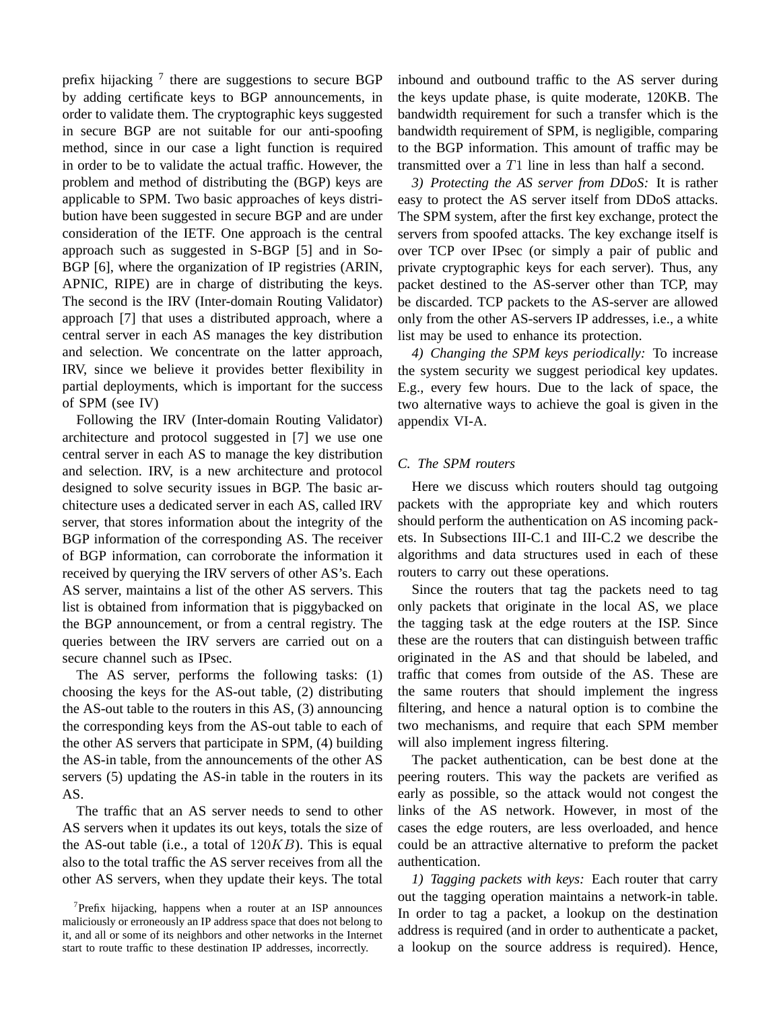prefix hijacking <sup>7</sup> there are suggestions to secure BGP by adding certificate keys to BGP announcements, in order to validate them. The cryptographic keys suggested in secure BGP are not suitable for our anti-spoofing method, since in our case a light function is required in order to be to validate the actual traffic. However, the problem and method of distributing the (BGP) keys are applicable to SPM. Two basic approaches of keys distribution have been suggested in secure BGP and are under consideration of the IETF. One approach is the central approach such as suggested in S-BGP [5] and in So-BGP [6], where the organization of IP registries (ARIN, APNIC, RIPE) are in charge of distributing the keys. The second is the IRV (Inter-domain Routing Validator) approach [7] that uses a distributed approach, where a central server in each AS manages the key distribution and selection. We concentrate on the latter approach, IRV, since we believe it provides better flexibility in partial deployments, which is important for the success of SPM (see IV)

Following the IRV (Inter-domain Routing Validator) architecture and protocol suggested in [7] we use one central server in each AS to manage the key distribution and selection. IRV, is a new architecture and protocol designed to solve security issues in BGP. The basic architecture uses a dedicated server in each AS, called IRV server, that stores information about the integrity of the BGP information of the corresponding AS. The receiver of BGP information, can corroborate the information it received by querying the IRV servers of other AS's. Each AS server, maintains a list of the other AS servers. This list is obtained from information that is piggybacked on the BGP announcement, or from a central registry. The queries between the IRV servers are carried out on a secure channel such as IPsec.

The AS server, performs the following tasks: (1) choosing the keys for the AS-out table, (2) distributing the AS-out table to the routers in this AS, (3) announcing the corresponding keys from the AS-out table to each of the other AS servers that participate in SPM, (4) building the AS-in table, from the announcements of the other AS servers (5) updating the AS-in table in the routers in its AS.

The traffic that an AS server needs to send to other AS servers when it updates its out keys, totals the size of the AS-out table (i.e., a total of  $120KB$ ). This is equal also to the total traffic the AS server receives from all the other AS servers, when they update their keys. The total

inbound and outbound traffic to the AS server during the keys update phase, is quite moderate, 120KB. The bandwidth requirement for such a transfer which is the bandwidth requirement of SPM, is negligible, comparing to the BGP information. This amount of traffic may be transmitted over a T1 line in less than half a second.

*3) Protecting the AS server from DDoS:* It is rather easy to protect the AS server itself from DDoS attacks. The SPM system, after the first key exchange, protect the servers from spoofed attacks. The key exchange itself is over TCP over IPsec (or simply a pair of public and private cryptographic keys for each server). Thus, any packet destined to the AS-server other than TCP, may be discarded. TCP packets to the AS-server are allowed only from the other AS-servers IP addresses, i.e., a white list may be used to enhance its protection.

*4) Changing the SPM keys periodically:* To increase the system security we suggest periodical key updates. E.g., every few hours. Due to the lack of space, the two alternative ways to achieve the goal is given in the appendix VI-A.

## *C. The SPM routers*

Here we discuss which routers should tag outgoing packets with the appropriate key and which routers should perform the authentication on AS incoming packets. In Subsections III-C.1 and III-C.2 we describe the algorithms and data structures used in each of these routers to carry out these operations.

Since the routers that tag the packets need to tag only packets that originate in the local AS, we place the tagging task at the edge routers at the ISP. Since these are the routers that can distinguish between traffic originated in the AS and that should be labeled, and traffic that comes from outside of the AS. These are the same routers that should implement the ingress filtering, and hence a natural option is to combine the two mechanisms, and require that each SPM member will also implement ingress filtering.

The packet authentication, can be best done at the peering routers. This way the packets are verified as early as possible, so the attack would not congest the links of the AS network. However, in most of the cases the edge routers, are less overloaded, and hence could be an attractive alternative to preform the packet authentication.

*1) Tagging packets with keys:* Each router that carry out the tagging operation maintains a network-in table. In order to tag a packet, a lookup on the destination address is required (and in order to authenticate a packet, a lookup on the source address is required). Hence,

<sup>&</sup>lt;sup>7</sup>Prefix hijacking, happens when a router at an ISP announces maliciously or erroneously an IP address space that does not belong to it, and all or some of its neighbors and other networks in the Internet start to route traffic to these destination IP addresses, incorrectly.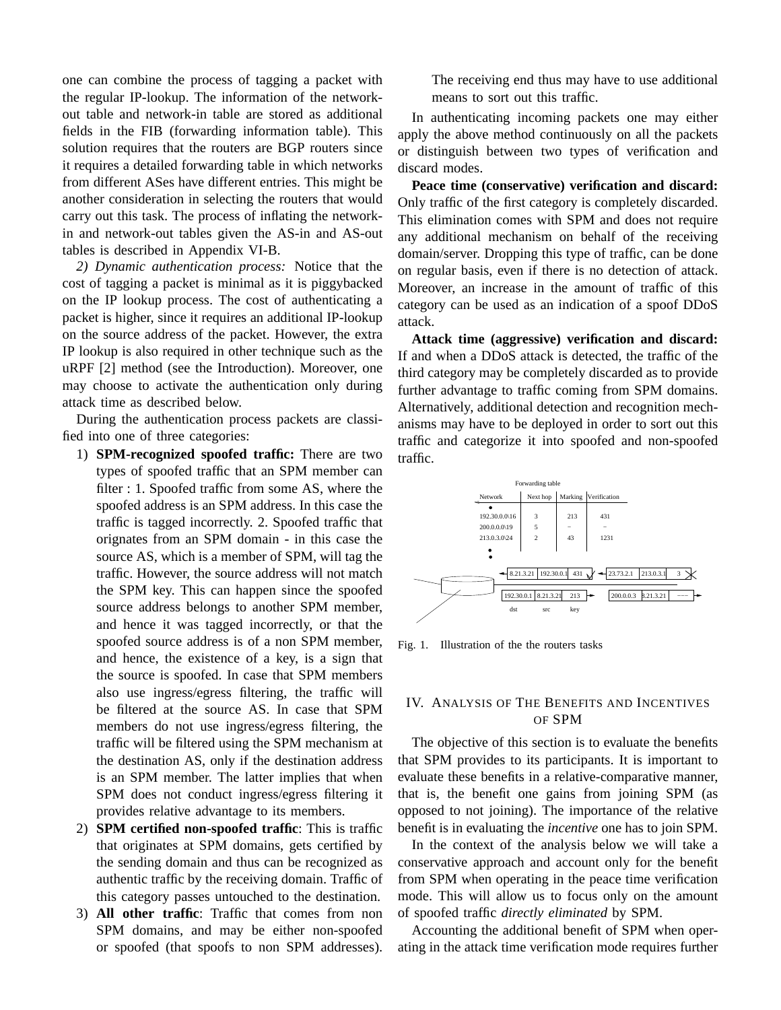one can combine the process of tagging a packet with the regular IP-lookup. The information of the networkout table and network-in table are stored as additional fields in the FIB (forwarding information table). This solution requires that the routers are BGP routers since it requires a detailed forwarding table in which networks from different ASes have different entries. This might be another consideration in selecting the routers that would carry out this task. The process of inflating the networkin and network-out tables given the AS-in and AS-out tables is described in Appendix VI-B.

*2) Dynamic authentication process:* Notice that the cost of tagging a packet is minimal as it is piggybacked on the IP lookup process. The cost of authenticating a packet is higher, since it requires an additional IP-lookup on the source address of the packet. However, the extra IP lookup is also required in other technique such as the uRPF [2] method (see the Introduction). Moreover, one may choose to activate the authentication only during attack time as described below.

During the authentication process packets are classified into one of three categories:

- 1) **SPM-recognized spoofed traffic:** There are two types of spoofed traffic that an SPM member can filter : 1. Spoofed traffic from some AS, where the spoofed address is an SPM address. In this case the traffic is tagged incorrectly. 2. Spoofed traffic that orignates from an SPM domain - in this case the source AS, which is a member of SPM, will tag the traffic. However, the source address will not match the SPM key. This can happen since the spoofed source address belongs to another SPM member, and hence it was tagged incorrectly, or that the spoofed source address is of a non SPM member, and hence, the existence of a key, is a sign that the source is spoofed. In case that SPM members also use ingress/egress filtering, the traffic will be filtered at the source AS. In case that SPM members do not use ingress/egress filtering, the traffic will be filtered using the SPM mechanism at the destination AS, only if the destination address is an SPM member. The latter implies that when SPM does not conduct ingress/egress filtering it provides relative advantage to its members.
- 2) **SPM certified non-spoofed traffic**: This is traffic that originates at SPM domains, gets certified by the sending domain and thus can be recognized as authentic traffic by the receiving domain. Traffic of this category passes untouched to the destination.
- 3) **All other traffic**: Traffic that comes from non SPM domains, and may be either non-spoofed or spoofed (that spoofs to non SPM addresses).

The receiving end thus may have to use additional means to sort out this traffic.

In authenticating incoming packets one may either apply the above method continuously on all the packets or distinguish between two types of verification and discard modes.

**Peace time (conservative) verification and discard:** Only traffic of the first category is completely discarded. This elimination comes with SPM and does not require any additional mechanism on behalf of the receiving domain/server. Dropping this type of traffic, can be done on regular basis, even if there is no detection of attack. Moreover, an increase in the amount of traffic of this category can be used as an indication of a spoof DDoS attack.

**Attack time (aggressive) verification and discard:** If and when a DDoS attack is detected, the traffic of the third category may be completely discarded as to provide further advantage to traffic coming from SPM domains. Alternatively, additional detection and recognition mechanisms may have to be deployed in order to sort out this traffic and categorize it into spoofed and non-spoofed traffic.



Fig. 1. Illustration of the the routers tasks

## IV. ANALYSIS OF THE BENEFITS AND INCENTIVES OF SPM

The objective of this section is to evaluate the benefits that SPM provides to its participants. It is important to evaluate these benefits in a relative-comparative manner, that is, the benefit one gains from joining SPM (as opposed to not joining). The importance of the relative benefit is in evaluating the *incentive* one has to join SPM.

In the context of the analysis below we will take a conservative approach and account only for the benefit from SPM when operating in the peace time verification mode. This will allow us to focus only on the amount of spoofed traffic *directly eliminated* by SPM.

Accounting the additional benefit of SPM when operating in the attack time verification mode requires further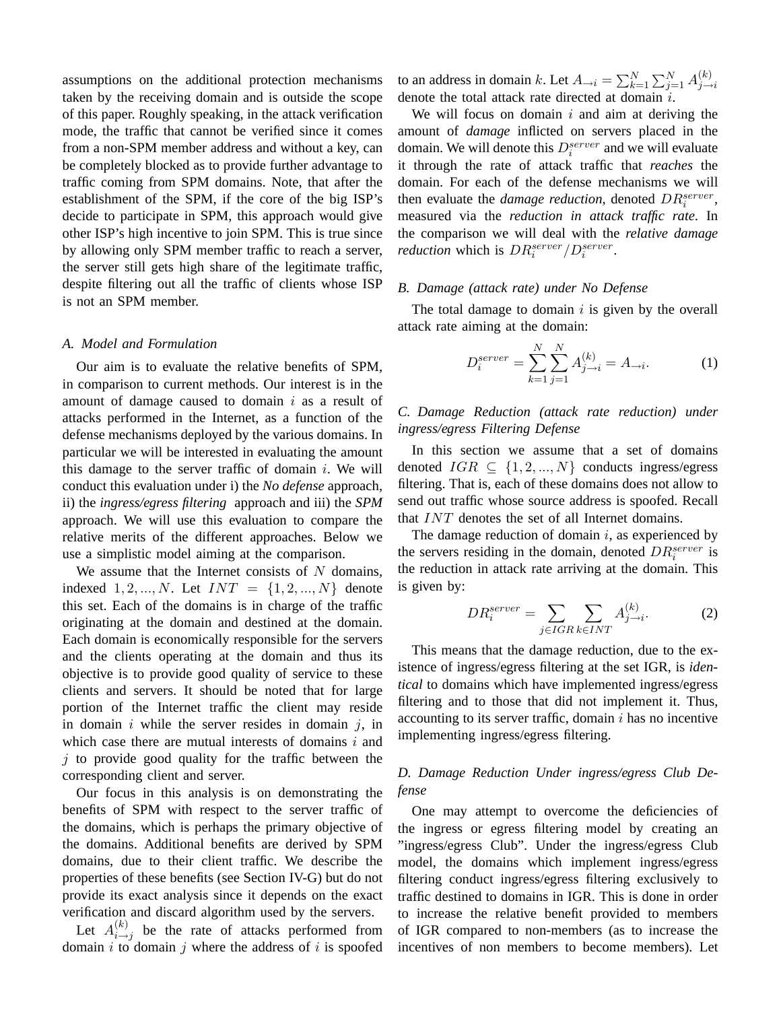assumptions on the additional protection mechanisms taken by the receiving domain and is outside the scope of this paper. Roughly speaking, in the attack verification mode, the traffic that cannot be verified since it comes from a non-SPM member address and without a key, can be completely blocked as to provide further advantage to traffic coming from SPM domains. Note, that after the establishment of the SPM, if the core of the big ISP's decide to participate in SPM, this approach would give other ISP's high incentive to join SPM. This is true since by allowing only SPM member traffic to reach a server, the server still gets high share of the legitimate traffic, despite filtering out all the traffic of clients whose ISP is not an SPM member.

## *A. Model and Formulation*

Our aim is to evaluate the relative benefits of SPM, in comparison to current methods. Our interest is in the amount of damage caused to domain  $i$  as a result of attacks performed in the Internet, as a function of the defense mechanisms deployed by the various domains. In particular we will be interested in evaluating the amount this damage to the server traffic of domain  $i$ . We will conduct this evaluation under i) the *No defense* approach, ii) the *ingress/egress filtering* approach and iii) the *SPM* approach. We will use this evaluation to compare the relative merits of the different approaches. Below we use a simplistic model aiming at the comparison.

We assume that the Internet consists of  $N$  domains, indexed  $1, 2, ..., N$ . Let  $INT = \{1, 2, ..., N\}$  denote this set. Each of the domains is in charge of the traffic originating at the domain and destined at the domain. Each domain is economically responsible for the servers and the clients operating at the domain and thus its objective is to provide good quality of service to these clients and servers. It should be noted that for large portion of the Internet traffic the client may reside in domain  $i$  while the server resides in domain  $j$ , in which case there are mutual interests of domains  $i$  and  $i$  to provide good quality for the traffic between the corresponding client and server.

Our focus in this analysis is on demonstrating the benefits of SPM with respect to the server traffic of the domains, which is perhaps the primary objective of the domains. Additional benefits are derived by SPM domains, due to their client traffic. We describe the properties of these benefits (see Section IV-G) but do not provide its exact analysis since it depends on the exact verification and discard algorithm used by the servers.

Let  $A_{i\rightarrow}^{(k)}$  $\binom{k}{i-j}$  be the rate of attacks performed from domain  $i$  to domain  $j$  where the address of  $i$  is spoofed to an address in domain k. Let  $A_{\rightarrow i} = \sum_{k=1}^{N} \sum_{j=1}^{N} A_{j\rightarrow i}^{(k)}$  $j\rightarrow i$ denote the total attack rate directed at domain  $i$ .

We will focus on domain  $i$  and aim at deriving the amount of *damage* inflicted on servers placed in the domain. We will denote this  $D_i^{server}$  and we will evaluate it through the rate of attack traffic that *reaches* the domain. For each of the defense mechanisms we will then evaluate the *damage reduction*, denoted  $DR_i^{server}$ , measured via the *reduction in attack traffic rate*. In the comparison we will deal with the *relative damage reduction* which is  $DR_i^{server}/D_i^{server}$ .

#### *B. Damage (attack rate) under No Defense*

The total damage to domain  $i$  is given by the overall attack rate aiming at the domain:

$$
D_i^{server} = \sum_{k=1}^{N} \sum_{j=1}^{N} A_{j \to i}^{(k)} = A_{\to i}.
$$
 (1)

# *C. Damage Reduction (attack rate reduction) under ingress/egress Filtering Defense*

In this section we assume that a set of domains denoted  $IGR \subseteq \{1, 2, ..., N\}$  conducts ingress/egress filtering. That is, each of these domains does not allow to send out traffic whose source address is spoofed. Recall that INT denotes the set of all Internet domains.

The damage reduction of domain  $i$ , as experienced by the servers residing in the domain, denoted  $DR_i^{server}$  is the reduction in attack rate arriving at the domain. This is given by:

$$
DR_i^{server} = \sum_{j \in IGR} \sum_{k \in INT} A_{j \to i}^{(k)}.
$$
 (2)

This means that the damage reduction, due to the existence of ingress/egress filtering at the set IGR, is *identical* to domains which have implemented ingress/egress filtering and to those that did not implement it. Thus, accounting to its server traffic, domain  $i$  has no incentive implementing ingress/egress filtering.

## *D. Damage Reduction Under ingress/egress Club Defense*

One may attempt to overcome the deficiencies of the ingress or egress filtering model by creating an "ingress/egress Club". Under the ingress/egress Club model, the domains which implement ingress/egress filtering conduct ingress/egress filtering exclusively to traffic destined to domains in IGR. This is done in order to increase the relative benefit provided to members of IGR compared to non-members (as to increase the incentives of non members to become members). Let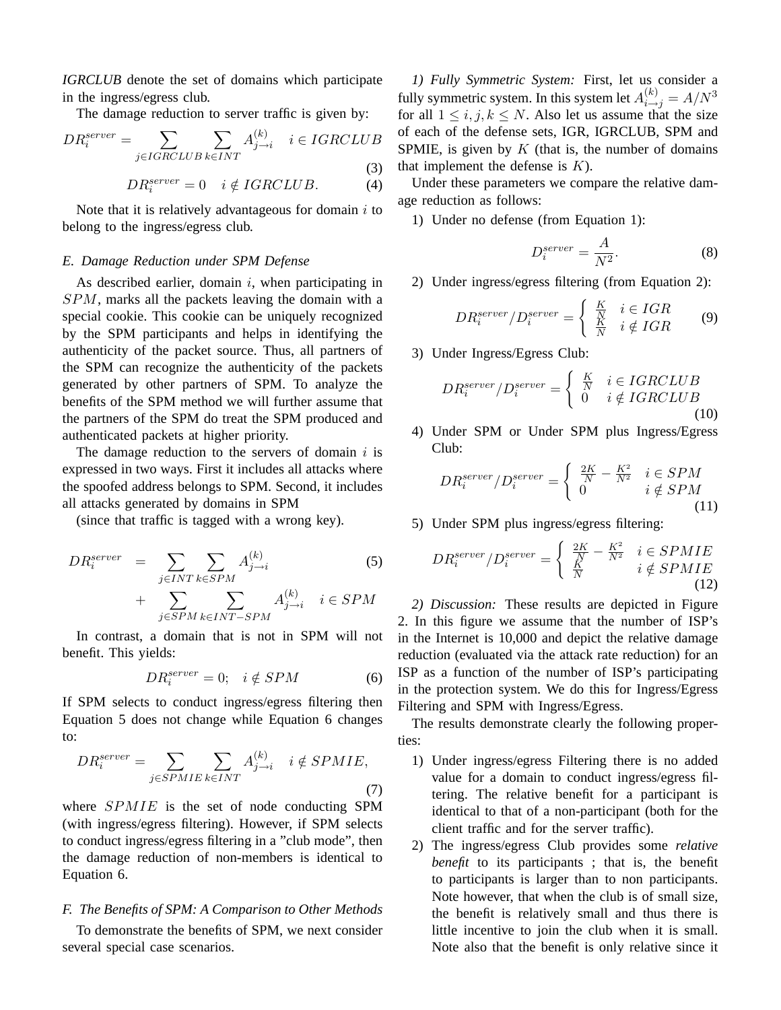*IGRCLUB* denote the set of domains which participate in the ingress/egress club.

The damage reduction to server traffic is given by:

$$
DR_i^{server} = \sum_{j \in IGRCLUB} \sum_{k \in INT} A_{j \to i}^{(k)} \quad i \in IGRCLUB
$$
\n(3)

$$
DR_i^{server} = 0 \quad i \notin IGRCLUB.
$$
 (4)

Note that it is relatively advantageous for domain  $i$  to belong to the ingress/egress club.

## *E. Damage Reduction under SPM Defense*

As described earlier, domain  $i$ , when participating in SPM, marks all the packets leaving the domain with a special cookie. This cookie can be uniquely recognized by the SPM participants and helps in identifying the authenticity of the packet source. Thus, all partners of the SPM can recognize the authenticity of the packets generated by other partners of SPM. To analyze the benefits of the SPM method we will further assume that the partners of the SPM do treat the SPM produced and authenticated packets at higher priority.

The damage reduction to the servers of domain  $i$  is expressed in two ways. First it includes all attacks where the spoofed address belongs to SPM. Second, it includes all attacks generated by domains in SPM

(since that traffic is tagged with a wrong key).

$$
DR_i^{server} = \sum_{j \in INT} \sum_{k \in SPM} A_{j \to i}^{(k)} \tag{5}
$$

$$
+ \sum_{j \in SPM} \sum_{k \in INT - SPM} A_{j \to i}^{(k)} \quad i \in SPM
$$

In contrast, a domain that is not in SPM will not benefit. This yields:

$$
DR_i^{server} = 0; \quad i \notin SPM \tag{6}
$$

If SPM selects to conduct ingress/egress filtering then Equation 5 does not change while Equation 6 changes to:

$$
DR_i^{server} = \sum_{j \in SPMIE} \sum_{k \in INT} A_{j \to i}^{(k)} \quad i \notin SPMIE,\tag{7}
$$

where **SPMIE** is the set of node conducting SPM (with ingress/egress filtering). However, if SPM selects to conduct ingress/egress filtering in a "club mode", then the damage reduction of non-members is identical to Equation 6.

#### *F. The Benefits of SPM: A Comparison to Other Methods*

To demonstrate the benefits of SPM, we next consider several special case scenarios.

*1) Fully Symmetric System:* First, let us consider a fully symmetric system. In this system let  $A_{i\rightarrow j}^{(k)} = A/N^3$ for all  $1 \le i, j, k \le N$ . Also let us assume that the size of each of the defense sets, IGR, IGRCLUB, SPM and SPMIE, is given by  $K$  (that is, the number of domains that implement the defense is  $K$ ).

Under these parameters we compare the relative damage reduction as follows:

1) Under no defense (from Equation 1):

$$
D_i^{server} = \frac{A}{N^2}.\tag{8}
$$

2) Under ingress/egress filtering (from Equation 2):

$$
DR_i^{server}/D_i^{server} = \begin{cases} \frac{K}{N} & i \in IGR\\ \frac{K}{N} & i \notin IGR \end{cases}
$$
 (9)

3) Under Ingress/Egress Club:

$$
DR_i^{server}/D_i^{server} = \begin{cases} \frac{K}{N} & i \in IGRCLUB\\ 0 & i \notin IGRCLUB \end{cases}
$$
(10)

4) Under SPM or Under SPM plus Ingress/Egress Club:

$$
DR_i^{server}/D_i^{server} = \begin{cases} \frac{2K}{N} - \frac{K^2}{N^2} & i \in SPM\\ 0 & i \notin SPM \end{cases}
$$
(11)

5) Under SPM plus ingress/egress filtering:

$$
DR_i^{server}/D_i^{server} = \begin{cases} \frac{2K}{N} - \frac{K^2}{N^2} & i \in SPMIE\\ \frac{K}{N} & i \notin SPMIE \end{cases}
$$
(12)

*2) Discussion:* These results are depicted in Figure 2. In this figure we assume that the number of ISP's in the Internet is 10,000 and depict the relative damage reduction (evaluated via the attack rate reduction) for an ISP as a function of the number of ISP's participating in the protection system. We do this for Ingress/Egress Filtering and SPM with Ingress/Egress.

The results demonstrate clearly the following properties:

- 1) Under ingress/egress Filtering there is no added value for a domain to conduct ingress/egress filtering. The relative benefit for a participant is identical to that of a non-participant (both for the client traffic and for the server traffic).
- 2) The ingress/egress Club provides some *relative benefit* to its participants ; that is, the benefit to participants is larger than to non participants. Note however, that when the club is of small size, the benefit is relatively small and thus there is little incentive to join the club when it is small. Note also that the benefit is only relative since it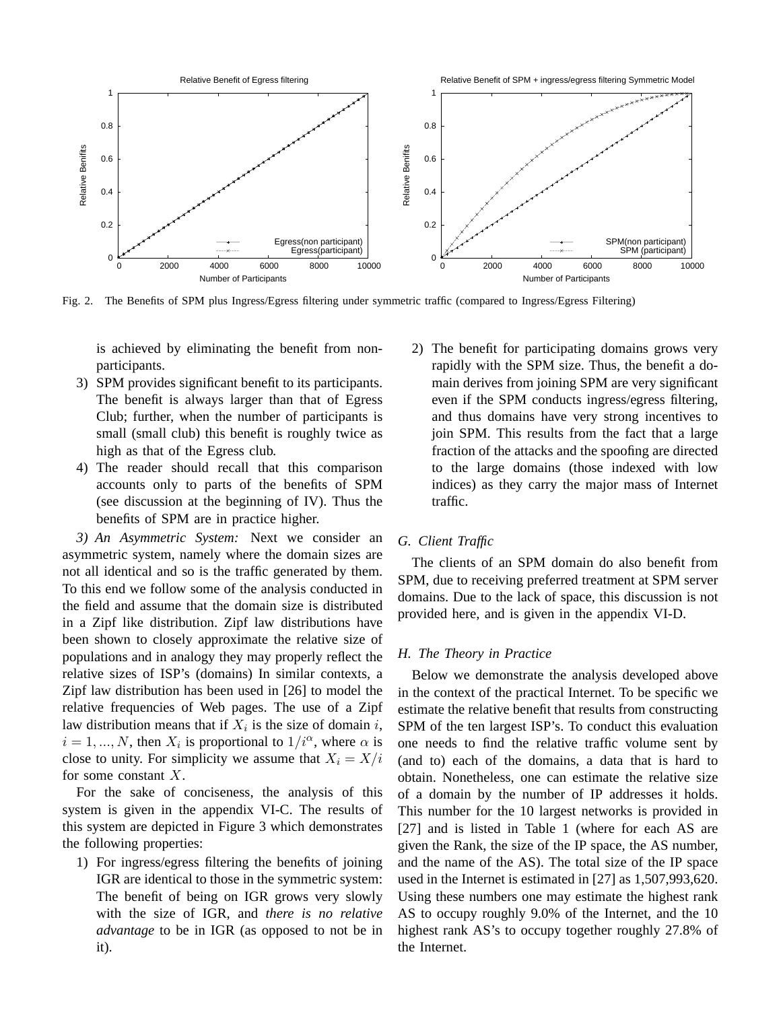

Fig. 2. The Benefits of SPM plus Ingress/Egress filtering under symmetric traffic (compared to Ingress/Egress Filtering)

is achieved by eliminating the benefit from nonparticipants.

- 3) SPM provides significant benefit to its participants. The benefit is always larger than that of Egress Club; further, when the number of participants is small (small club) this benefit is roughly twice as high as that of the Egress club.
- 4) The reader should recall that this comparison accounts only to parts of the benefits of SPM (see discussion at the beginning of IV). Thus the benefits of SPM are in practice higher.

*3) An Asymmetric System:* Next we consider an asymmetric system, namely where the domain sizes are not all identical and so is the traffic generated by them. To this end we follow some of the analysis conducted in the field and assume that the domain size is distributed in a Zipf like distribution. Zipf law distributions have been shown to closely approximate the relative size of populations and in analogy they may properly reflect the relative sizes of ISP's (domains) In similar contexts, a Zipf law distribution has been used in [26] to model the relative frequencies of Web pages. The use of a Zipf law distribution means that if  $X_i$  is the size of domain i,  $i = 1, ..., N$ , then  $X_i$  is proportional to  $1/i^{\alpha}$ , where  $\alpha$  is close to unity. For simplicity we assume that  $X_i = X/i$ for some constant X.

For the sake of conciseness, the analysis of this system is given in the appendix VI-C. The results of this system are depicted in Figure 3 which demonstrates the following properties:

1) For ingress/egress filtering the benefits of joining IGR are identical to those in the symmetric system: The benefit of being on IGR grows very slowly with the size of IGR, and *there is no relative advantage* to be in IGR (as opposed to not be in it).

2) The benefit for participating domains grows very rapidly with the SPM size. Thus, the benefit a domain derives from joining SPM are very significant even if the SPM conducts ingress/egress filtering, and thus domains have very strong incentives to join SPM. This results from the fact that a large fraction of the attacks and the spoofing are directed to the large domains (those indexed with low indices) as they carry the major mass of Internet traffic.

## *G. Client Traffic*

The clients of an SPM domain do also benefit from SPM, due to receiving preferred treatment at SPM server domains. Due to the lack of space, this discussion is not provided here, and is given in the appendix VI-D.

#### *H. The Theory in Practice*

Below we demonstrate the analysis developed above in the context of the practical Internet. To be specific we estimate the relative benefit that results from constructing SPM of the ten largest ISP's. To conduct this evaluation one needs to find the relative traffic volume sent by (and to) each of the domains, a data that is hard to obtain. Nonetheless, one can estimate the relative size of a domain by the number of IP addresses it holds. This number for the 10 largest networks is provided in [27] and is listed in Table 1 (where for each AS are given the Rank, the size of the IP space, the AS number, and the name of the AS). The total size of the IP space used in the Internet is estimated in [27] as 1,507,993,620. Using these numbers one may estimate the highest rank AS to occupy roughly 9.0% of the Internet, and the 10 highest rank AS's to occupy together roughly 27.8% of the Internet.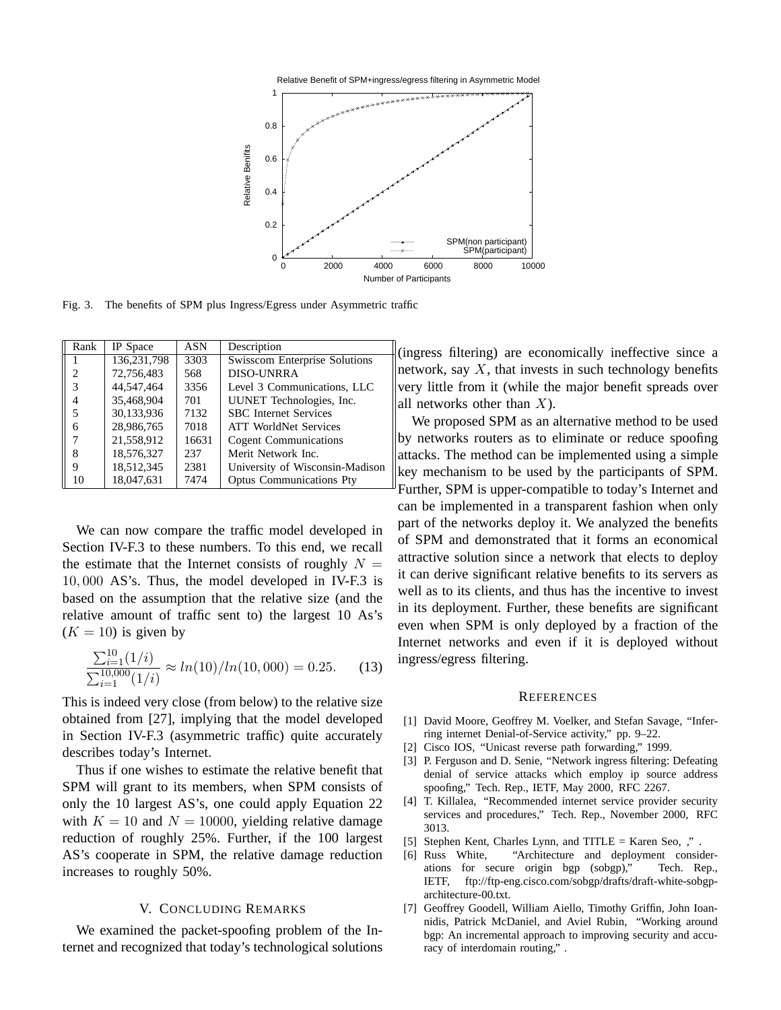



Fig. 3. The benefits of SPM plus Ingress/Egress under Asymmetric traffic

| Rank           | IP Space    | <b>ASN</b> | Description                          |
|----------------|-------------|------------|--------------------------------------|
|                | 136,231,798 | 3303       | <b>Swisscom Enterprise Solutions</b> |
| $\mathfrak{D}$ | 72,756,483  | 568        | <b>DISO-UNRRA</b>                    |
| 3              | 44,547,464  | 3356       | Level 3 Communications, LLC          |
| 4              | 35,468,904  | 701        | UUNET Technologies, Inc.             |
| 5              | 30,133,936  | 7132       | <b>SBC</b> Internet Services         |
| 6              | 28,986,765  | 7018       | <b>ATT WorldNet Services</b>         |
|                | 21,558,912  | 16631      | <b>Cogent Communications</b>         |
| 8              | 18,576,327  | 237        | Merit Network Inc.                   |
| 9              | 18,512,345  | 2381       | University of Wisconsin-Madison      |
| 10             | 18,047,631  | 7474       | <b>Optus Communications Pty</b>      |

We can now compare the traffic model developed in Section IV-F.3 to these numbers. To this end, we recall the estimate that the Internet consists of roughly  $N =$ 10, 000 AS's. Thus, the model developed in IV-F.3 is based on the assumption that the relative size (and the relative amount of traffic sent to) the largest 10 As's  $(K = 10)$  is given by

$$
\frac{\sum_{i=1}^{10} (1/i)}{\sum_{i=1}^{10,000} (1/i)} \approx \ln(10) / \ln(10,000) = 0.25.
$$
 (13)

This is indeed very close (from below) to the relative size obtained from [27], implying that the model developed in Section IV-F.3 (asymmetric traffic) quite accurately describes today's Internet.

Thus if one wishes to estimate the relative benefit that SPM will grant to its members, when SPM consists of only the 10 largest AS's, one could apply Equation 22 with  $K = 10$  and  $N = 10000$ , yielding relative damage reduction of roughly 25%. Further, if the 100 largest AS's cooperate in SPM, the relative damage reduction increases to roughly 50%.

#### V. CONCLUDING REMARKS

We examined the packet-spoofing problem of the Internet and recognized that today's technological solutions (ingress filtering) are economically ineffective since a network, say  $X$ , that invests in such technology benefits very little from it (while the major benefit spreads over all networks other than  $X$ ).

We proposed SPM as an alternative method to be used by networks routers as to eliminate or reduce spoofing attacks. The method can be implemented using a simple key mechanism to be used by the participants of SPM. Further, SPM is upper-compatible to today's Internet and can be implemented in a transparent fashion when only part of the networks deploy it. We analyzed the benefits of SPM and demonstrated that it forms an economical attractive solution since a network that elects to deploy it can derive significant relative benefits to its servers as well as to its clients, and thus has the incentive to invest in its deployment. Further, these benefits are significant even when SPM is only deployed by a fraction of the Internet networks and even if it is deployed without ingress/egress filtering.

#### **REFERENCES**

- [1] David Moore, Geoffrey M. Voelker, and Stefan Savage, "Inferring internet Denial-of-Service activity," pp. 9–22.
- [2] Cisco IOS, "Unicast reverse path forwarding," 1999.
- [3] P. Ferguson and D. Senie, "Network ingress filtering: Defeating denial of service attacks which employ ip source address spoofing," Tech. Rep., IETF, May 2000, RFC 2267.
- [4] T. Killalea, "Recommended internet service provider security services and procedures," Tech. Rep., November 2000, RFC 3013.
- [5] Stephen Kent, Charles Lynn, and TITLE = Karen Seo,  $\ddot{,}$  .
- [6] Russ White, "Architecture and deployment considerations for secure origin bgp (sobgp)," Tech. Rep., IETF, ftp://ftp-eng.cisco.com/sobgp/drafts/draft-white-sobgparchitecture-00.txt.
- [7] Geoffrey Goodell, William Aiello, Timothy Griffin, John Ioannidis, Patrick McDaniel, and Aviel Rubin, "Working around bgp: An incremental approach to improving security and accuracy of interdomain routing," .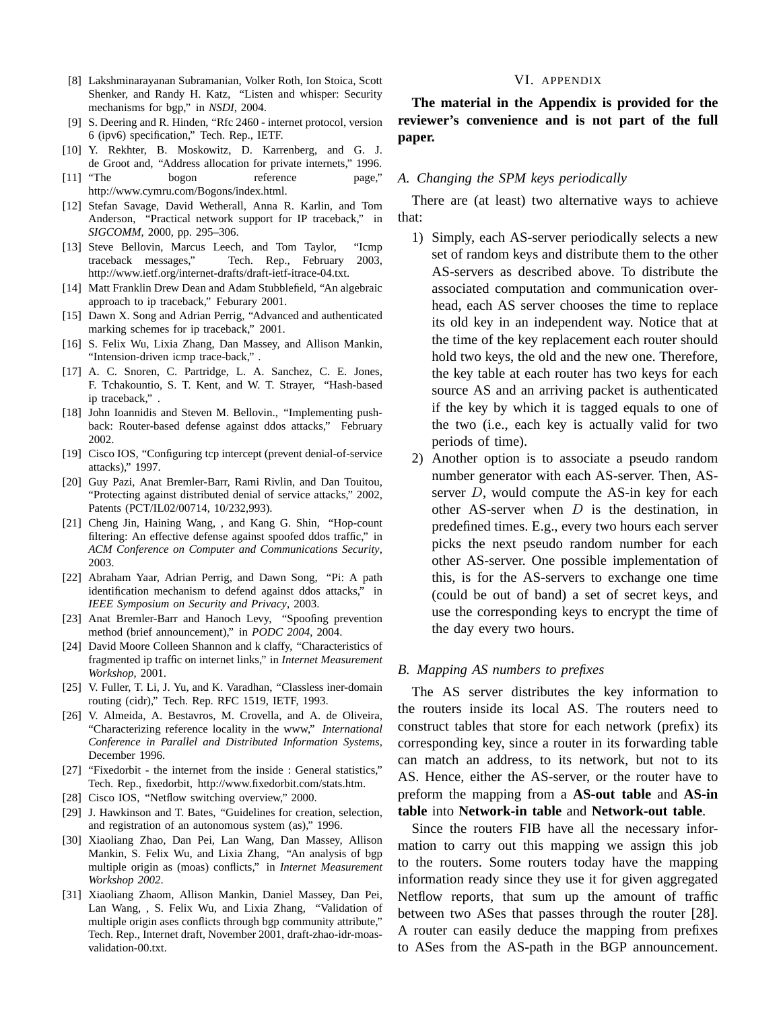- [8] Lakshminarayanan Subramanian, Volker Roth, Ion Stoica, Scott Shenker, and Randy H. Katz, "Listen and whisper: Security mechanisms for bgp," in *NSDI*, 2004.
- [9] S. Deering and R. Hinden, "Rfc 2460 internet protocol, version 6 (ipv6) specification," Tech. Rep., IETF.
- [10] Y. Rekhter, B. Moskowitz, D. Karrenberg, and G. J. de Groot and, "Address allocation for private internets," 1996.
- [11] "The bogon reference page," http://www.cymru.com/Bogons/index.html.
- [12] Stefan Savage, David Wetherall, Anna R. Karlin, and Tom Anderson, "Practical network support for IP traceback," in *SIGCOMM*, 2000, pp. 295–306.
- [13] Steve Bellovin, Marcus Leech, and Tom Taylor, "Icmp traceback messages," Tech. Rep., February 2003, http://www.ietf.org/internet-drafts/draft-ietf-itrace-04.txt.
- [14] Matt Franklin Drew Dean and Adam Stubblefield, "An algebraic approach to ip traceback," Feburary 2001.
- [15] Dawn X. Song and Adrian Perrig, "Advanced and authenticated marking schemes for ip traceback," 2001.
- [16] S. Felix Wu, Lixia Zhang, Dan Massey, and Allison Mankin, "Intension-driven icmp trace-back," .
- [17] A. C. Snoren, C. Partridge, L. A. Sanchez, C. E. Jones, F. Tchakountio, S. T. Kent, and W. T. Strayer, "Hash-based ip traceback," .
- [18] John Ioannidis and Steven M. Bellovin., "Implementing pushback: Router-based defense against ddos attacks," February 2002.
- [19] Cisco IOS, "Configuring tcp intercept (prevent denial-of-service attacks)," 1997.
- [20] Guy Pazi, Anat Bremler-Barr, Rami Rivlin, and Dan Touitou, "Protecting against distributed denial of service attacks," 2002, Patents (PCT/IL02/00714, 10/232,993).
- [21] Cheng Jin, Haining Wang, , and Kang G. Shin, "Hop-count filtering: An effective defense against spoofed ddos traffic," in *ACM Conference on Computer and Communications Security*, 2003.
- [22] Abraham Yaar, Adrian Perrig, and Dawn Song, "Pi: A path identification mechanism to defend against ddos attacks," in *IEEE Symposium on Security and Privacy*, 2003.
- [23] Anat Bremler-Barr and Hanoch Levy, "Spoofing prevention method (brief announcement)," in *PODC 2004*, 2004.
- [24] David Moore Colleen Shannon and k claffy, "Characteristics of fragmented ip traffic on internet links," in *Internet Measurement Workshop*, 2001.
- [25] V. Fuller, T. Li, J. Yu, and K. Varadhan, "Classless iner-domain routing (cidr)," Tech. Rep. RFC 1519, IETF, 1993.
- [26] V. Almeida, A. Bestavros, M. Crovella, and A. de Oliveira, "Characterizing reference locality in the www," *International Conference in Parallel and Distributed Information Systems*, December 1996.
- [27] "Fixedorbit the internet from the inside : General statistics," Tech. Rep., fixedorbit, http://www.fixedorbit.com/stats.htm.
- [28] Cisco IOS, "Netflow switching overview," 2000.
- [29] J. Hawkinson and T. Bates, "Guidelines for creation, selection, and registration of an autonomous system (as)," 1996.
- [30] Xiaoliang Zhao, Dan Pei, Lan Wang, Dan Massey, Allison Mankin, S. Felix Wu, and Lixia Zhang, "An analysis of bgp multiple origin as (moas) conflicts," in *Internet Measurement Workshop 2002*.
- [31] Xiaoliang Zhaom, Allison Mankin, Daniel Massey, Dan Pei, Lan Wang, , S. Felix Wu, and Lixia Zhang, "Validation of multiple origin ases conflicts through bgp community attribute," Tech. Rep., Internet draft, November 2001, draft-zhao-idr-moasvalidation-00.txt.

#### VI. APPENDIX

**The material in the Appendix is provided for the reviewer's convenience and is not part of the full paper.**

#### *A. Changing the SPM keys periodically*

There are (at least) two alternative ways to achieve that:

- 1) Simply, each AS-server periodically selects a new set of random keys and distribute them to the other AS-servers as described above. To distribute the associated computation and communication overhead, each AS server chooses the time to replace its old key in an independent way. Notice that at the time of the key replacement each router should hold two keys, the old and the new one. Therefore, the key table at each router has two keys for each source AS and an arriving packet is authenticated if the key by which it is tagged equals to one of the two (i.e., each key is actually valid for two periods of time).
- 2) Another option is to associate a pseudo random number generator with each AS-server. Then, ASserver D, would compute the AS-in key for each other AS-server when  $D$  is the destination, in predefined times. E.g., every two hours each server picks the next pseudo random number for each other AS-server. One possible implementation of this, is for the AS-servers to exchange one time (could be out of band) a set of secret keys, and use the corresponding keys to encrypt the time of the day every two hours.

#### *B. Mapping AS numbers to prefixes*

The AS server distributes the key information to the routers inside its local AS. The routers need to construct tables that store for each network (prefix) its corresponding key, since a router in its forwarding table can match an address, to its network, but not to its AS. Hence, either the AS-server, or the router have to preform the mapping from a **AS-out table** and **AS-in table** into **Network-in table** and **Network-out table**.

Since the routers FIB have all the necessary information to carry out this mapping we assign this job to the routers. Some routers today have the mapping information ready since they use it for given aggregated Netflow reports, that sum up the amount of traffic between two ASes that passes through the router [28]. A router can easily deduce the mapping from prefixes to ASes from the AS-path in the BGP announcement.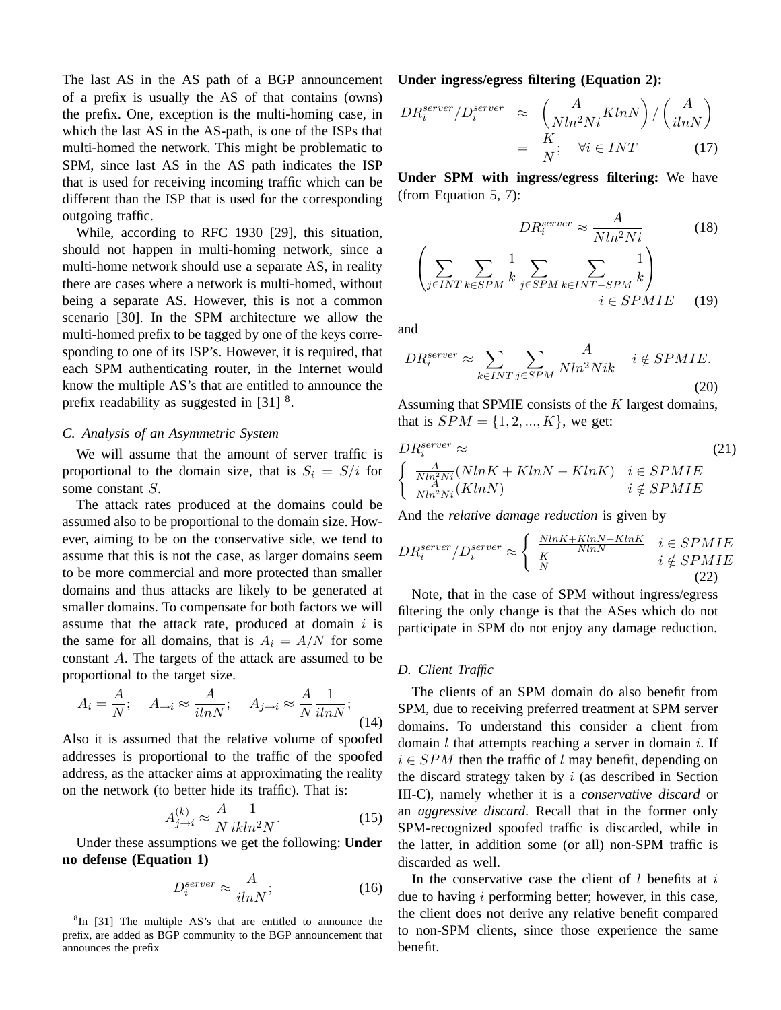The last AS in the AS path of a BGP announcement of a prefix is usually the AS of that contains (owns) the prefix. One, exception is the multi-homing case, in which the last AS in the AS-path, is one of the ISPs that multi-homed the network. This might be problematic to SPM, since last AS in the AS path indicates the ISP that is used for receiving incoming traffic which can be different than the ISP that is used for the corresponding outgoing traffic.

While, according to RFC 1930 [29], this situation, should not happen in multi-homing network, since a multi-home network should use a separate AS, in reality there are cases where a network is multi-homed, without being a separate AS. However, this is not a common scenario [30]. In the SPM architecture we allow the multi-homed prefix to be tagged by one of the keys corresponding to one of its ISP's. However, it is required, that each SPM authenticating router, in the Internet would know the multiple AS's that are entitled to announce the prefix readability as suggested in  $[31]$ <sup>8</sup>.

#### *C. Analysis of an Asymmetric System*

We will assume that the amount of server traffic is proportional to the domain size, that is  $S_i = S/i$  for some constant S.

The attack rates produced at the domains could be assumed also to be proportional to the domain size. However, aiming to be on the conservative side, we tend to assume that this is not the case, as larger domains seem to be more commercial and more protected than smaller domains and thus attacks are likely to be generated at smaller domains. To compensate for both factors we will assume that the attack rate, produced at domain  $i$  is the same for all domains, that is  $A_i = A/N$  for some constant A. The targets of the attack are assumed to be proportional to the target size.

$$
A_i = \frac{A}{N}; \quad A_{\to i} \approx \frac{A}{i ln N}; \quad A_{j \to i} \approx \frac{A}{N} \frac{1}{i ln N}; \quad (14)
$$

Also it is assumed that the relative volume of spoofed addresses is proportional to the traffic of the spoofed address, as the attacker aims at approximating the reality on the network (to better hide its traffic). That is:

$$
A_{j \to i}^{(k)} \approx \frac{A}{N} \frac{1}{ikln^2 N}.
$$
 (15)

Under these assumptions we get the following: **Under no defense (Equation 1)**

$$
D_i^{server} \approx \frac{A}{ilnN};\tag{16}
$$

<sup>8</sup>In [31] The multiple AS's that are entitled to announce the prefix, are added as BGP community to the BGP announcement that announces the prefix

**Under ingress/egress filtering (Equation 2):**

$$
DR_i^{server} / D_i^{server} \approx \left(\frac{A}{Nln^2Ni} KlnN\right) / \left(\frac{A}{ilnN}\right)
$$

$$
= \frac{K}{N}; \quad \forall i \in INT \tag{17}
$$

**Under SPM with ingress/egress filtering:** We have (from Equation 5, 7):

$$
DR_i^{server} \approx \frac{A}{Nln^2Ni}
$$
 (18)

$$
\left(\sum_{j \in INT} \sum_{k \in SPM} \frac{1}{k} \sum_{j \in SPM} \sum_{k \in INT-SPM} \frac{1}{k} \right)_{i \in SPMIE} \tag{19}
$$

and

 $\overline{1}$ 

$$
DR_i^{server} \approx \sum_{k \in INT} \sum_{j \in SPM} \frac{A}{Nln^2 Nik} \quad i \notin SPMIE.
$$
\n(20)

Assuming that SPMIE consists of the  $K$  largest domains, that is  $SPM = \{1, 2, ..., K\}$ , we get:

$$
DR_i^{server} \approx \tag{21}
$$
\n
$$
\begin{cases}\n\frac{A}{Nln^2 Ni}(NlnK + KlnN - KlnK) & i \in SPMIE \\
\frac{A}{Nln^2Ni}(KlnN) & i \notin SPMIE\n\end{cases}
$$

And the *relative damage reduction* is given by

$$
DR_i^{server}/D_i^{server} \approx \begin{cases} \frac{NlnK + KlnN - KlnK}{NlnN} & i \in SPMIE\\ \frac{K}{N} & i \notin SPMIE \end{cases}
$$
 (22)

Note, that in the case of SPM without ingress/egress filtering the only change is that the ASes which do not participate in SPM do not enjoy any damage reduction.

#### *D. Client Traffic*

The clients of an SPM domain do also benefit from SPM, due to receiving preferred treatment at SPM server domains. To understand this consider a client from domain  $l$  that attempts reaching a server in domain  $i$ . If  $i \in SPM$  then the traffic of l may benefit, depending on the discard strategy taken by  $i$  (as described in Section III-C), namely whether it is a *conservative discard* or an *aggressive discard*. Recall that in the former only SPM-recognized spoofed traffic is discarded, while in the latter, in addition some (or all) non-SPM traffic is discarded as well.

In the conservative case the client of  $l$  benefits at  $i$ due to having  $i$  performing better; however, in this case, the client does not derive any relative benefit compared to non-SPM clients, since those experience the same benefit.